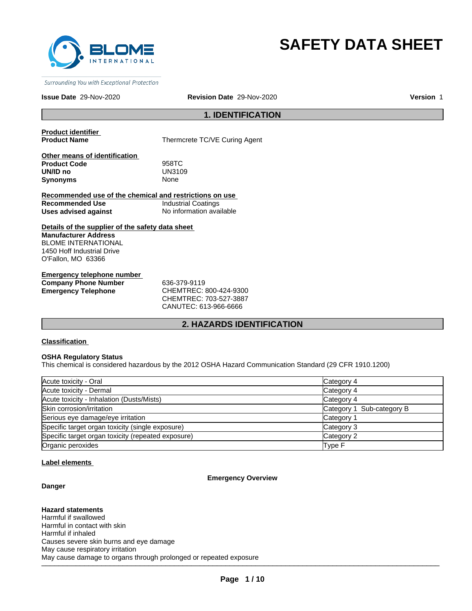

# **SAFETY DATA SHEET**

Surrounding You with Exceptional Protection

## **Issue Date** 29-Nov-2020 **Revision Date** 29-Nov-2020 **Version** 1

## **1. IDENTIFICATION**

**Product identifier** 

**Thermcrete TC/VE Curing Agent** 

**Other means of identification Product Code** 958TC<br> **UN/ID no** UN3109 **UN/ID no** UN31<br>**Synonyms** None **Synonyms** 

**Recommended use of the chemical and restrictions on use Recommended Use Industrial Coatings<br>
Uses advised against Internation State Report** No information available **Uses advised against** 

**Details of the supplier of the safety data sheet Manufacturer Address** BLOME INTERNATIONAL 1450 Hoff Industrial Drive O'Fallon, MO 63366

**Emergency telephone number Company Phone Number** 636-379-9119 **Emergency Telephone** CHEMTREC: 800-424-9300

CHEMTREC: 703-527-3887 CANUTEC: 613-966-6666

## **2. HAZARDS IDENTIFICATION**

### **Classification**

## **OSHA Regulatory Status**

This chemical is considered hazardous by the 2012 OSHA Hazard Communication Standard (29 CFR 1910.1200)

| Acute toxicity - Oral                              | Category 4                |
|----------------------------------------------------|---------------------------|
| Acute toxicity - Dermal                            | Category 4                |
| Acute toxicity - Inhalation (Dusts/Mists)          | Category 4                |
| Skin corrosion/irritation                          | Category 1 Sub-category B |
| Serious eye damage/eye irritation                  | Category 1                |
| Specific target organ toxicity (single exposure)   | Category 3                |
| Specific target organ toxicity (repeated exposure) | Category 2                |
| Organic peroxides                                  | Type F                    |

#### **Label elements**

## **Emergency Overview**

**Danger**

\_\_\_\_\_\_\_\_\_\_\_\_\_\_\_\_\_\_\_\_\_\_\_\_\_\_\_\_\_\_\_\_\_\_\_\_\_\_\_\_\_\_\_\_\_\_\_\_\_\_\_\_\_\_\_\_\_\_\_\_\_\_\_\_\_\_\_\_\_\_\_\_\_\_\_\_\_\_\_\_\_\_\_\_\_\_\_\_\_\_\_\_\_ May cause damage to organs through prolonged or repeated exposure **Hazard statements** Harmful if swallowed Harmful in contact with skin Harmful if inhaled Causes severe skin burns and eye damage May cause respiratory irritation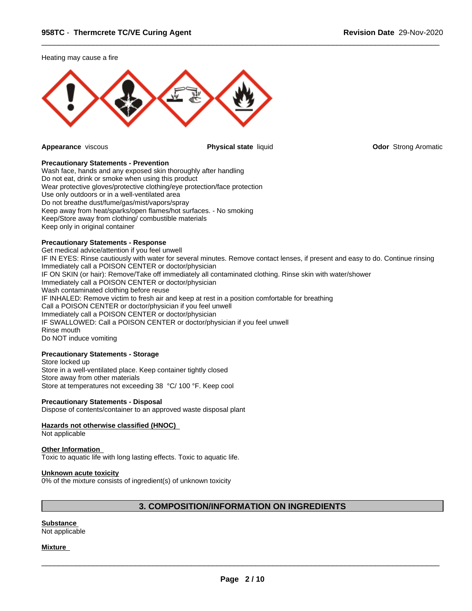Heating may cause a fire



 $\overline{\phantom{a}}$  ,  $\overline{\phantom{a}}$  ,  $\overline{\phantom{a}}$  ,  $\overline{\phantom{a}}$  ,  $\overline{\phantom{a}}$  ,  $\overline{\phantom{a}}$  ,  $\overline{\phantom{a}}$  ,  $\overline{\phantom{a}}$  ,  $\overline{\phantom{a}}$  ,  $\overline{\phantom{a}}$  ,  $\overline{\phantom{a}}$  ,  $\overline{\phantom{a}}$  ,  $\overline{\phantom{a}}$  ,  $\overline{\phantom{a}}$  ,  $\overline{\phantom{a}}$  ,  $\overline{\phantom{a}}$ 

**Appearance** viscous **Physical state** liquid **Odor** Strong Aromatic

## **Precautionary Statements - Prevention**

Wash face, hands and any exposed skin thoroughly after handling Do not eat, drink or smoke when using this product Wear protective gloves/protective clothing/eye protection/face protection Use only outdoors or in a well-ventilated area Do not breathe dust/fume/gas/mist/vapors/spray Keep away from heat/sparks/open flames/hot surfaces. - No smoking Keep/Store away from clothing/ combustible materials Keep only in original container

## **Precautionary Statements - Response**

Get medical advice/attention if you feel unwell IF IN EYES: Rinse cautiously with water for several minutes. Remove contact lenses, if present and easy to do. Continue rinsing Immediately call a POISON CENTER or doctor/physician IF ON SKIN (or hair): Remove/Take off immediately all contaminated clothing. Rinse skin with water/shower Immediately call a POISON CENTER or doctor/physician Wash contaminated clothing before reuse IF INHALED: Remove victim to fresh air and keep at rest in a position comfortable for breathing Call a POISON CENTER or doctor/physician if you feel unwell Immediately call a POISON CENTER or doctor/physician IF SWALLOWED: Call a POISON CENTER or doctor/physician if you feel unwell Rinse mouth Do NOT induce vomiting

## **Precautionary Statements - Storage**

Store locked up Store in a well-ventilated place. Keep container tightly closed Store away from other materials Store at temperatures not exceeding 38 °C/ 100 °F. Keep cool

#### **Precautionary Statements - Disposal**

Dispose of contents/container to an approved waste disposal plant

### **Hazards not otherwise classified (HNOC)**

Not applicable

## **Other Information**

Toxic to aquatic life with long lasting effects. Toxic to aquatic life.

#### **Unknown acute toxicity**

0% of the mixture consists of ingredient(s) of unknown toxicity

## **3. COMPOSITION/INFORMATION ON INGREDIENTS**

#### **Substance**  Not applicable

**Mixture**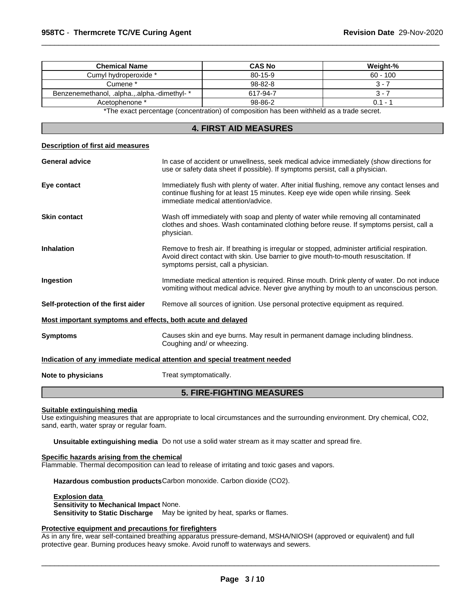**Description of first aid measures**

| <b>Chemical Name</b>                         | <b>CAS No</b> | Weight-%   |
|----------------------------------------------|---------------|------------|
| Cumyl hydroperoxide *                        | $80 - 15 - 9$ | $60 - 100$ |
| Cumene *                                     | $98 - 82 - 8$ | . .        |
| Benzenemethanol, .alpha.,.alpha.-dimethyl- * | 617-94-7      | ۰.         |
| Acetophenone *                               | 98-86-2       | $0.1 - 7$  |
|                                              |               |            |

 $\overline{\phantom{a}}$  ,  $\overline{\phantom{a}}$  ,  $\overline{\phantom{a}}$  ,  $\overline{\phantom{a}}$  ,  $\overline{\phantom{a}}$  ,  $\overline{\phantom{a}}$  ,  $\overline{\phantom{a}}$  ,  $\overline{\phantom{a}}$  ,  $\overline{\phantom{a}}$  ,  $\overline{\phantom{a}}$  ,  $\overline{\phantom{a}}$  ,  $\overline{\phantom{a}}$  ,  $\overline{\phantom{a}}$  ,  $\overline{\phantom{a}}$  ,  $\overline{\phantom{a}}$  ,  $\overline{\phantom{a}}$ 

\*The exact percentage (concentration) of composition has been withheld as a trade secret.

## **4. FIRST AID MEASURES**

|                                                             | <b>5. FIRE-FIGHTING MEASURES</b>                                                                                                                                                                                             |  |  |  |
|-------------------------------------------------------------|------------------------------------------------------------------------------------------------------------------------------------------------------------------------------------------------------------------------------|--|--|--|
| Note to physicians                                          | Treat symptomatically.                                                                                                                                                                                                       |  |  |  |
|                                                             | Indication of any immediate medical attention and special treatment needed                                                                                                                                                   |  |  |  |
| <b>Symptoms</b>                                             | Causes skin and eye burns. May result in permanent damage including blindness.<br>Coughing and/ or wheezing.                                                                                                                 |  |  |  |
| Most important symptoms and effects, both acute and delayed |                                                                                                                                                                                                                              |  |  |  |
| Self-protection of the first aider                          | Remove all sources of ignition. Use personal protective equipment as required.                                                                                                                                               |  |  |  |
| Ingestion                                                   | Immediate medical attention is required. Rinse mouth. Drink plenty of water. Do not induce<br>vomiting without medical advice. Never give anything by mouth to an unconscious person.                                        |  |  |  |
| <b>Inhalation</b>                                           | Remove to fresh air. If breathing is irregular or stopped, administer artificial respiration.<br>Avoid direct contact with skin. Use barrier to give mouth-to-mouth resuscitation. If<br>symptoms persist, call a physician. |  |  |  |
| <b>Skin contact</b>                                         | Wash off immediately with soap and plenty of water while removing all contaminated<br>clothes and shoes. Wash contaminated clothing before reuse. If symptoms persist, call a<br>physician.                                  |  |  |  |
| Eye contact                                                 | Immediately flush with plenty of water. After initial flushing, remove any contact lenses and<br>continue flushing for at least 15 minutes. Keep eye wide open while rinsing. Seek<br>immediate medical attention/advice.    |  |  |  |
| <b>General advice</b>                                       | In case of accident or unwellness, seek medical advice immediately (show directions for<br>use or safety data sheet if possible). If symptoms persist, call a physician.                                                     |  |  |  |
| Description of first ald measures                           |                                                                                                                                                                                                                              |  |  |  |

## **Suitable extinguishing media**

Use extinguishing measures that are appropriate to local circumstances and the surrounding environment. Dry chemical, CO2, sand, earth, water spray or regular foam.

**Unsuitable extinguishing media** Do not use a solid water stream as it may scatter and spread fire.

## **Specific hazards arising from the chemical**

Flammable. Thermal decomposition can lead to release of irritating and toxic gases and vapors.

**Hazardous combustion products**Carbon monoxide. Carbon dioxide (CO2).

**Explosion data** 

**Sensitivity to Mechanical Impact** None. **Sensitivity to Static Discharge** May be ignited by heat, sparks or flames.

## **Protective equipment and precautions for firefighters**

As in any fire, wear self-contained breathing apparatus pressure-demand, MSHA/NIOSH (approved or equivalent) and full protective gear. Burning produces heavy smoke. Avoid runoff to waterways and sewers.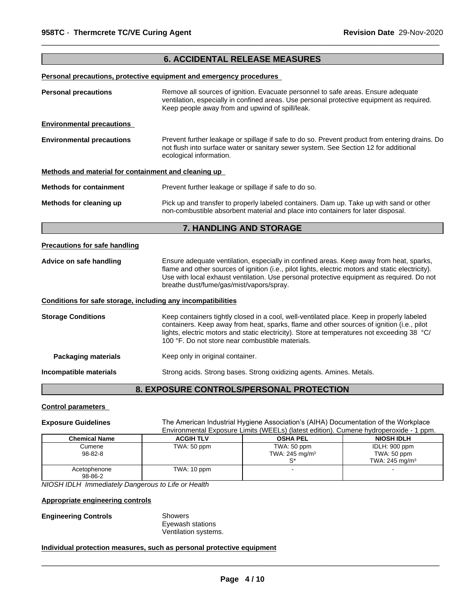## **6. ACCIDENTAL RELEASE MEASURES**

 $\overline{\phantom{a}}$  ,  $\overline{\phantom{a}}$  ,  $\overline{\phantom{a}}$  ,  $\overline{\phantom{a}}$  ,  $\overline{\phantom{a}}$  ,  $\overline{\phantom{a}}$  ,  $\overline{\phantom{a}}$  ,  $\overline{\phantom{a}}$  ,  $\overline{\phantom{a}}$  ,  $\overline{\phantom{a}}$  ,  $\overline{\phantom{a}}$  ,  $\overline{\phantom{a}}$  ,  $\overline{\phantom{a}}$  ,  $\overline{\phantom{a}}$  ,  $\overline{\phantom{a}}$  ,  $\overline{\phantom{a}}$ 

**Personal precautions, protective equipment and emergency procedures** 

| <b>Personal precautions</b>                                                                                                                                                                                                                           | Remove all sources of ignition. Evacuate personnel to safe areas. Ensure adequate<br>ventilation, especially in confined areas. Use personal protective equipment as required.<br>Keep people away from and upwind of spill/leak.                                                                                                         |  |
|-------------------------------------------------------------------------------------------------------------------------------------------------------------------------------------------------------------------------------------------------------|-------------------------------------------------------------------------------------------------------------------------------------------------------------------------------------------------------------------------------------------------------------------------------------------------------------------------------------------|--|
| <b>Environmental precautions</b>                                                                                                                                                                                                                      |                                                                                                                                                                                                                                                                                                                                           |  |
| <b>Environmental precautions</b><br>Prevent further leakage or spillage if safe to do so. Prevent product from entering drains. Do<br>not flush into surface water or sanitary sewer system. See Section 12 for additional<br>ecological information. |                                                                                                                                                                                                                                                                                                                                           |  |
| Methods and material for containment and cleaning up                                                                                                                                                                                                  |                                                                                                                                                                                                                                                                                                                                           |  |
| <b>Methods for containment</b>                                                                                                                                                                                                                        | Prevent further leakage or spillage if safe to do so.                                                                                                                                                                                                                                                                                     |  |
| Methods for cleaning up                                                                                                                                                                                                                               | Pick up and transfer to properly labeled containers. Dam up. Take up with sand or other<br>non-combustible absorbent material and place into containers for later disposal.                                                                                                                                                               |  |
|                                                                                                                                                                                                                                                       | 7. HANDLING AND STORAGE                                                                                                                                                                                                                                                                                                                   |  |
| <b>Precautions for safe handling</b>                                                                                                                                                                                                                  |                                                                                                                                                                                                                                                                                                                                           |  |
| Advice on safe handling                                                                                                                                                                                                                               | Ensure adequate ventilation, especially in confined areas. Keep away from heat, sparks,<br>flame and other sources of ignition (i.e., pilot lights, electric motors and static electricity).<br>Use with local exhaust ventilation. Use personal protective equipment as required. Do not<br>breathe dust/fume/gas/mist/vapors/spray.     |  |
| Conditions for safe storage, including any incompatibilities                                                                                                                                                                                          |                                                                                                                                                                                                                                                                                                                                           |  |
| <b>Storage Conditions</b>                                                                                                                                                                                                                             | Keep containers tightly closed in a cool, well-ventilated place. Keep in properly labeled<br>containers. Keep away from heat, sparks, flame and other sources of ignition (i.e., pilot<br>lights, electric motors and static electricity). Store at temperatures not exceeding 38 °C/<br>100 °F. Do not store near combustible materials. |  |
| <b>Packaging materials</b>                                                                                                                                                                                                                            | Keep only in original container.                                                                                                                                                                                                                                                                                                          |  |
| Incompatible materials                                                                                                                                                                                                                                | Strong acids. Strong bases. Strong oxidizing agents. Amines. Metals.                                                                                                                                                                                                                                                                      |  |
|                                                                                                                                                                                                                                                       | 8. EXPOSURE CONTROLS/PERSONAL PROTECTION                                                                                                                                                                                                                                                                                                  |  |

## **Control parameters**

Exposure Guidelines The American Industrial Hygiene Association's (AIHA) Documentation of the Workplace Environmental Exposure Limits (WEELs) (latest edition). Cumene hydroperoxide - 1 ppm.

| <b>Chemical Name</b>    | <b>ACGIH TLV</b> | <b>OSHA PEL</b>                           | <b>NIOSH IDLH</b>                                          |
|-------------------------|------------------|-------------------------------------------|------------------------------------------------------------|
| Cumene<br>98-82-8       | TWA: 50 ppm      | TWA: 50 ppm<br>TWA: 245 mg/m <sup>3</sup> | IDLH: 900 ppm<br>TWA: 50 ppm<br>TWA: 245 mg/m <sup>3</sup> |
| Acetophenone<br>98-86-2 | TWA: 10 ppm      |                                           |                                                            |

*NIOSH IDLH Immediately Dangerous to Life or Health*

## **Appropriate engineering controls**

## **Engineering Controls** Showers

Eyewash stations Ventilation systems.

## **Individual protection measures, such as personal protective equipment**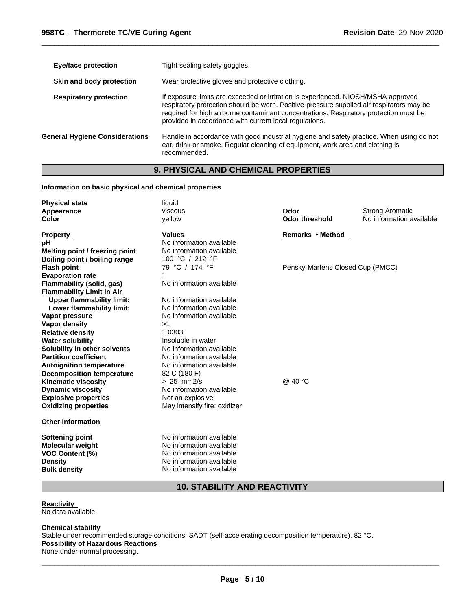| Eye/face protection                   | Tight sealing safety goggles.                                                                                                                                                                                                                                                                                                    |
|---------------------------------------|----------------------------------------------------------------------------------------------------------------------------------------------------------------------------------------------------------------------------------------------------------------------------------------------------------------------------------|
| Skin and body protection              | Wear protective gloves and protective clothing.                                                                                                                                                                                                                                                                                  |
| <b>Respiratory protection</b>         | If exposure limits are exceeded or irritation is experienced, NIOSH/MSHA approved<br>respiratory protection should be worn. Positive-pressure supplied air respirators may be<br>required for high airborne contaminant concentrations. Respiratory protection must be<br>provided in accordance with current local regulations. |
| <b>General Hygiene Considerations</b> | Handle in accordance with good industrial hygiene and safety practice. When using do not<br>eat, drink or smoke. Regular cleaning of equipment, work area and clothing is<br>recommended.                                                                                                                                        |

 $\overline{\phantom{a}}$  ,  $\overline{\phantom{a}}$  ,  $\overline{\phantom{a}}$  ,  $\overline{\phantom{a}}$  ,  $\overline{\phantom{a}}$  ,  $\overline{\phantom{a}}$  ,  $\overline{\phantom{a}}$  ,  $\overline{\phantom{a}}$  ,  $\overline{\phantom{a}}$  ,  $\overline{\phantom{a}}$  ,  $\overline{\phantom{a}}$  ,  $\overline{\phantom{a}}$  ,  $\overline{\phantom{a}}$  ,  $\overline{\phantom{a}}$  ,  $\overline{\phantom{a}}$  ,  $\overline{\phantom{a}}$ 

## **9. PHYSICAL AND CHEMICAL PROPERTIES**

## **Information on basic physical and chemical properties**

| <b>Physical state</b><br>Appearance<br>Color                  | liquid<br>viscous<br>yellow                                           | Odor<br><b>Odor threshold</b>    | <b>Strong Aromatic</b><br>No information available |
|---------------------------------------------------------------|-----------------------------------------------------------------------|----------------------------------|----------------------------------------------------|
| <b>Property</b><br>pН<br>Melting point / freezing point       | <b>Values</b><br>No information available<br>No information available | Remarks • Method                 |                                                    |
| <b>Boiling point / boiling range</b>                          | 100 °C / 212 °F                                                       |                                  |                                                    |
| <b>Flash point</b>                                            | 79 °C / 174 °F                                                        | Pensky-Martens Closed Cup (PMCC) |                                                    |
| <b>Evaporation rate</b>                                       |                                                                       |                                  |                                                    |
| Flammability (solid, gas)                                     | No information available                                              |                                  |                                                    |
| <b>Flammability Limit in Air</b>                              |                                                                       |                                  |                                                    |
| <b>Upper flammability limit:</b><br>Lower flammability limit: | No information available<br>No information available                  |                                  |                                                    |
| Vapor pressure                                                | No information available                                              |                                  |                                                    |
| Vapor density                                                 | >1                                                                    |                                  |                                                    |
| <b>Relative density</b>                                       | 1.0303                                                                |                                  |                                                    |
| <b>Water solubility</b>                                       | Insoluble in water                                                    |                                  |                                                    |
| Solubility in other solvents                                  | No information available                                              |                                  |                                                    |
| <b>Partition coefficient</b>                                  | No information available                                              |                                  |                                                    |
| <b>Autoignition temperature</b>                               | No information available                                              |                                  |                                                    |
| <b>Decomposition temperature</b>                              | 82 C (180 F)                                                          |                                  |                                                    |
| <b>Kinematic viscosity</b>                                    | $> 25$ mm2/s                                                          | @ 40 °C                          |                                                    |
| <b>Dynamic viscosity</b>                                      | No information available                                              |                                  |                                                    |
| <b>Explosive properties</b>                                   | Not an explosive                                                      |                                  |                                                    |
| <b>Oxidizing properties</b>                                   | May intensify fire; oxidizer                                          |                                  |                                                    |
| <b>Other Information</b>                                      |                                                                       |                                  |                                                    |
| <b>Softening point</b>                                        | No information available                                              |                                  |                                                    |
| Molecular weight                                              | No information available                                              |                                  |                                                    |
| <b>VOC Content (%)</b>                                        | No information available                                              |                                  |                                                    |
| <b>Density</b>                                                | No information available                                              |                                  |                                                    |
| <b>Bulk density</b>                                           | No information available                                              |                                  |                                                    |

## **10. STABILITY AND REACTIVITY**

**Reactivity**  No data available

**Chemical stability** Stable under recommended storage conditions. SADT (self-accelerating decomposition temperature). 82 °C. **Possibility of Hazardous Reactions** None under normal processing.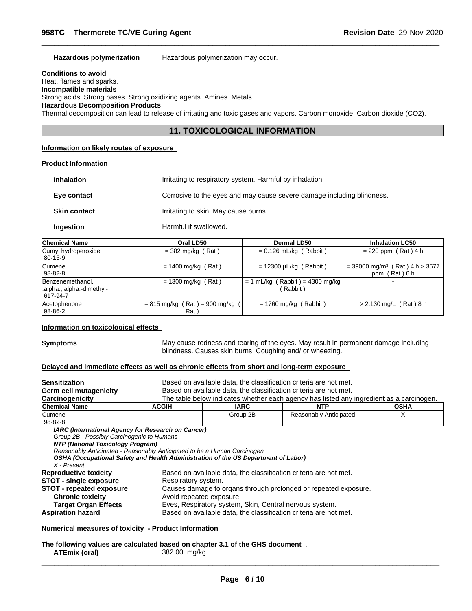**Hazardous polymerization** Hazardous polymerization may occur.

## **Conditions to avoid**

Heat, flames and sparks.

**Incompatible materials**

Strong acids. Strong bases. Strong oxidizing agents. Amines. Metals.

## **Hazardous Decomposition Products**

Thermal decomposition can lead to release of irritating and toxic gases and vapors. Carbon monoxide. Carbon dioxide (CO2).

## **11. TOXICOLOGICAL INFORMATION**

 $\overline{\phantom{a}}$  ,  $\overline{\phantom{a}}$  ,  $\overline{\phantom{a}}$  ,  $\overline{\phantom{a}}$  ,  $\overline{\phantom{a}}$  ,  $\overline{\phantom{a}}$  ,  $\overline{\phantom{a}}$  ,  $\overline{\phantom{a}}$  ,  $\overline{\phantom{a}}$  ,  $\overline{\phantom{a}}$  ,  $\overline{\phantom{a}}$  ,  $\overline{\phantom{a}}$  ,  $\overline{\phantom{a}}$  ,  $\overline{\phantom{a}}$  ,  $\overline{\phantom{a}}$  ,  $\overline{\phantom{a}}$ 

## **Information on likely routes of exposure**

## **Product Information**

| <b>Inhalation</b>   | Irritating to respiratory system. Harmful by inhalation.               |
|---------------------|------------------------------------------------------------------------|
| Eye contact         | Corrosive to the eyes and may cause severe damage including blindness. |
| <b>Skin contact</b> | Irritating to skin. May cause burns.                                   |
| Ingestion           | Harmful if swallowed.                                                  |

| <b>Chemical Name</b>                                       | Oral LD50                                             | <b>Dermal LD50</b>                            | <b>Inhalation LC50</b>                                        |
|------------------------------------------------------------|-------------------------------------------------------|-----------------------------------------------|---------------------------------------------------------------|
| Cumyl hydroperoxide<br>$ 80-15-9 $                         | $=$ 382 mg/kg (Rat)                                   | $= 0.126$ mL/kg (Rabbit)                      | $= 220$ ppm (Rat) 4 h                                         |
| Cumene<br>  98-82-8                                        | $= 1400$ mg/kg (Rat)                                  | $= 12300 \mu L/kg$ (Rabbit)                   | $=$ 39000 mg/m <sup>3</sup> (Rat) 4 h > 3577<br>ppm (Rat) 6 h |
| Benzenemethanol,<br>.alpha.,.alpha.-dimethyl-<br>1617-94-7 | $= 1300$ mg/kg (Rat)                                  | $= 1$ mL/kg (Rabbit) = 4300 mg/kg<br>(Rabbit) |                                                               |
| Acetophenone<br> 98-86-2                                   | $= 815$ mg/kg (Rat) = 900 mg/kg (<br>Rat <sup>'</sup> | $= 1760$ mg/kg (Rabbit)                       | $> 2.130$ mg/L (Rat) 8 h                                      |

#### **Information on toxicological effects**

**Symptoms** May cause redness and tearing of the eyes. May result in permanent damage including blindness. Causes skin burns. Coughing and/ or wheezing.

## **Delayed and immediate effects as well as chronic effects from short and long-term exposure**

| <b>Sensitization</b>                       | Based on available data, the classification criteria are not met.                  |             |                                                                                          |             |  |
|--------------------------------------------|------------------------------------------------------------------------------------|-------------|------------------------------------------------------------------------------------------|-------------|--|
| Germ cell mutagenicity                     |                                                                                    |             | Based on available data, the classification criteria are not met.                        |             |  |
| Carcinogenicity                            |                                                                                    |             | The table below indicates whether each agency has listed any ingredient as a carcinogen. |             |  |
| <b>Chemical Name</b>                       | <b>ACGIH</b>                                                                       | <b>IARC</b> | <b>NTP</b>                                                                               | <b>OSHA</b> |  |
| <b>Cumene</b>                              |                                                                                    | Group 2B    | Reasonably Anticipated                                                                   | X           |  |
| 98-82-8                                    |                                                                                    |             |                                                                                          |             |  |
|                                            | IARC (International Agency for Research on Cancer)                                 |             |                                                                                          |             |  |
| Group 2B - Possibly Carcinogenic to Humans |                                                                                    |             |                                                                                          |             |  |
| NTP (National Toxicology Program)          |                                                                                    |             |                                                                                          |             |  |
|                                            | Reasonably Anticipated - Reasonably Anticipated to be a Human Carcinogen           |             |                                                                                          |             |  |
|                                            | OSHA (Occupational Safety and Health Administration of the US Department of Labor) |             |                                                                                          |             |  |
| X - Present                                |                                                                                    |             |                                                                                          |             |  |
| <b>Reproductive toxicity</b>               |                                                                                    |             | Based on available data, the classification criteria are not met.                        |             |  |
| <b>STOT - single exposure</b>              | Respiratory system.                                                                |             |                                                                                          |             |  |
| <b>STOT - repeated exposure</b>            |                                                                                    |             | Causes damage to organs through prolonged or repeated exposure.                          |             |  |
|                                            |                                                                                    |             |                                                                                          |             |  |
| <b>Chronic toxicity</b>                    | Avoid repeated exposure.                                                           |             |                                                                                          |             |  |
| <b>Target Organ Effects</b>                |                                                                                    |             | Eyes, Respiratory system, Skin, Central nervous system.                                  |             |  |
| <b>Aspiration hazard</b>                   |                                                                                    |             | Based on available data, the classification criteria are not met.                        |             |  |
|                                            |                                                                                    |             |                                                                                          |             |  |

## **Numerical measures of toxicity - Product Information**

**The following values are calculated based on chapter 3.1 of the GHS document** . **ATEmix (oral)**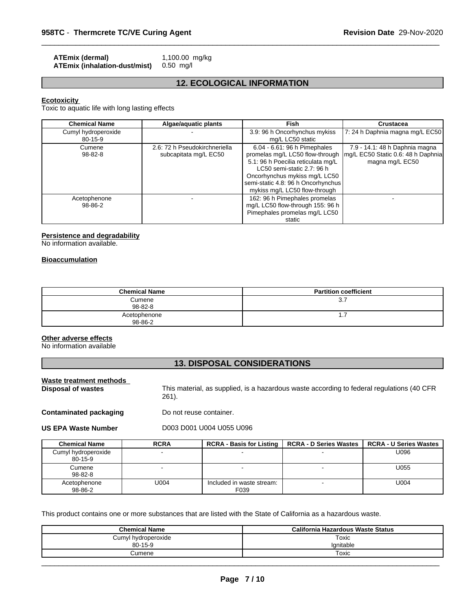| <b>ATEmix (dermal)</b>        | 1,100.00 mg/kg |
|-------------------------------|----------------|
| ATEmix (inhalation-dust/mist) | 0.50 ma/l      |

## **12. ECOLOGICAL INFORMATION**

 $\overline{\phantom{a}}$  ,  $\overline{\phantom{a}}$  ,  $\overline{\phantom{a}}$  ,  $\overline{\phantom{a}}$  ,  $\overline{\phantom{a}}$  ,  $\overline{\phantom{a}}$  ,  $\overline{\phantom{a}}$  ,  $\overline{\phantom{a}}$  ,  $\overline{\phantom{a}}$  ,  $\overline{\phantom{a}}$  ,  $\overline{\phantom{a}}$  ,  $\overline{\phantom{a}}$  ,  $\overline{\phantom{a}}$  ,  $\overline{\phantom{a}}$  ,  $\overline{\phantom{a}}$  ,  $\overline{\phantom{a}}$ 

## **Ecotoxicity**

Toxic to aquatic life with long lasting effects

| <b>Chemical Name</b> | Algae/aquatic plants          | Fish                               | Crustacea                           |
|----------------------|-------------------------------|------------------------------------|-------------------------------------|
| Cumyl hydroperoxide  |                               | 3.9: 96 h Oncorhynchus mykiss      | 7: 24 h Daphnia magna mg/L EC50     |
| 80-15-9              |                               | mg/L LC50 static                   |                                     |
| Cumene               | 2.6: 72 h Pseudokirchneriella | 6.04 - 6.61: 96 h Pimephales       | 7.9 - 14.1: 48 h Daphnia magna      |
| $98 - 82 - 8$        | subcapitata mg/L EC50         | promelas mg/L LC50 flow-through    | Img/L EC50 Static 0.6: 48 h Daphnia |
|                      |                               | 5.1: 96 h Poecilia reticulata mg/L | magna mg/L EC50                     |
|                      |                               | LC50 semi-static 2.7: 96 h         |                                     |
|                      |                               | Oncorhynchus mykiss mg/L LC50      |                                     |
|                      |                               | semi-static 4.8: 96 h Oncorhynchus |                                     |
|                      |                               | mykiss mg/L LC50 flow-through      |                                     |
| Acetophenone         |                               | 162: 96 h Pimephales promelas      |                                     |
| 98-86-2              |                               | mg/L LC50 flow-through 155: 96 h   |                                     |
|                      |                               | Pimephales promelas mg/L LC50      |                                     |
|                      |                               | static                             |                                     |

## **Persistence and degradability**

No information available.

## **Bioaccumulation**

| <b>Chemical Name</b>    | <b>Partition coefficient</b> |
|-------------------------|------------------------------|
| Cumene<br>98-82-8       | 3.1                          |
| Acetophenone<br>98-86-2 | ، ا                          |

## **Other adverse effects**

No information available

## **13. DISPOSAL CONSIDERATIONS**

| Waste treatment methods       |                                                                                                        |
|-------------------------------|--------------------------------------------------------------------------------------------------------|
| Disposal of wastes            | This material, as supplied, is a hazardous waste according to federal regulations (40 CFR)<br>$261$ ). |
| <b>Contaminated packaging</b> | Do not reuse container.                                                                                |
| <b>US EPA Waste Number</b>    | D003 D001 U004 U055 U096                                                                               |

| <b>Chemical Name</b>                 | <b>RCRA</b> | <b>RCRA - Basis for Listing</b>   | <b>RCRA - D Series Wastes</b> | <b>RCRA - U Series Wastes</b> |
|--------------------------------------|-------------|-----------------------------------|-------------------------------|-------------------------------|
| Cumyl hydroperoxide<br>$80 - 15 - 9$ |             |                                   |                               | U096                          |
| Cumene<br>98-82-8                    |             | $\,$                              |                               | U055                          |
| Acetophenone<br>98-86-2              | U004        | Included in waste stream:<br>F039 |                               | U004                          |

This product contains one or more substances that are listed with the State of California as a hazardous waste.

| <b>Chemical Name</b> | California Hazardous Waste Status |
|----------------------|-----------------------------------|
| Cumyl hydroperoxide  | Toxic                             |
| $80 - 15 - 9$        | Ignitable                         |
| Cumene               | Toxic                             |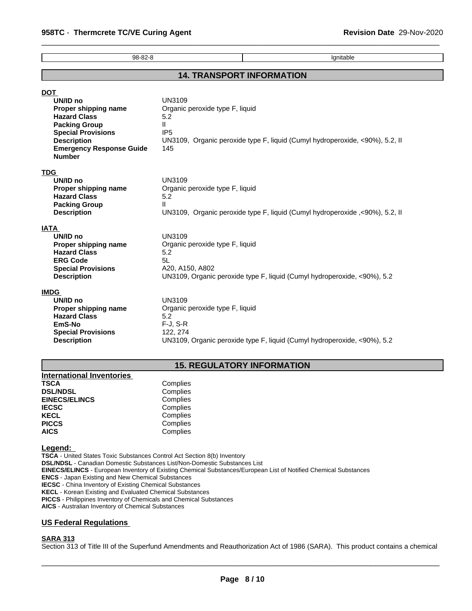| 98-82-8                                                                                                                                                                                | Ignitable                                                                                                                                                                  |  |  |
|----------------------------------------------------------------------------------------------------------------------------------------------------------------------------------------|----------------------------------------------------------------------------------------------------------------------------------------------------------------------------|--|--|
|                                                                                                                                                                                        | <b>14. TRANSPORT INFORMATION</b>                                                                                                                                           |  |  |
| <b>DOT</b>                                                                                                                                                                             |                                                                                                                                                                            |  |  |
| UN/ID no<br>Proper shipping name<br><b>Hazard Class</b><br><b>Packing Group</b><br><b>Special Provisions</b><br><b>Description</b><br><b>Emergency Response Guide</b><br><b>Number</b> | UN3109<br>Organic peroxide type F, liquid<br>5.2<br>$\mathbf{H}$<br>IP <sub>5</sub><br>UN3109, Organic peroxide type F, liquid (Cumyl hydroperoxide, <90%), 5.2, II<br>145 |  |  |
| <b>TDG</b>                                                                                                                                                                             |                                                                                                                                                                            |  |  |
| UN/ID no<br>Proper shipping name                                                                                                                                                       | UN3109<br>Organic peroxide type F, liquid                                                                                                                                  |  |  |
| <b>Hazard Class</b>                                                                                                                                                                    | 5.2                                                                                                                                                                        |  |  |
| <b>Packing Group</b><br><b>Description</b>                                                                                                                                             | $\mathbf{H}$<br>UN3109, Organic peroxide type F, liquid (Cumyl hydroperoxide ,<90%), 5.2, II                                                                               |  |  |
| <b>IATA</b>                                                                                                                                                                            |                                                                                                                                                                            |  |  |
| UN/ID no<br>Proper shipping name                                                                                                                                                       | UN3109<br>Organic peroxide type F, liquid                                                                                                                                  |  |  |
| <b>Hazard Class</b>                                                                                                                                                                    | 5.2                                                                                                                                                                        |  |  |
| <b>ERG Code</b>                                                                                                                                                                        | 5L                                                                                                                                                                         |  |  |
| <b>Special Provisions</b><br><b>Description</b>                                                                                                                                        | A20, A150, A802<br>UN3109, Organic peroxide type F, liquid (Cumyl hydroperoxide, <90%), 5.2                                                                                |  |  |
| <b>IMDG</b>                                                                                                                                                                            |                                                                                                                                                                            |  |  |
| UN/ID no                                                                                                                                                                               | UN3109                                                                                                                                                                     |  |  |
| Proper shipping name<br><b>Hazard Class</b>                                                                                                                                            | Organic peroxide type F, liquid<br>5.2                                                                                                                                     |  |  |
| EmS-No                                                                                                                                                                                 | $F-J, S-R$                                                                                                                                                                 |  |  |
| <b>Special Provisions</b>                                                                                                                                                              | 122, 274                                                                                                                                                                   |  |  |
| <b>Description</b>                                                                                                                                                                     | UN3109, Organic peroxide type F, liquid (Cumyl hydroperoxide, <90%), 5.2                                                                                                   |  |  |

## **15. REGULATORY INFORMATION**

| <b>International Inventories</b> |          |
|----------------------------------|----------|
| <b>TSCA</b>                      | Complies |
| <b>DSL/NDSL</b>                  | Complies |
| <b>EINECS/ELINCS</b>             | Complies |
| <b>IECSC</b>                     | Complies |
| <b>KECL</b>                      | Complies |
| <b>PICCS</b>                     | Complies |
| <b>AICS</b>                      | Complies |

#### **Legend:**

**TSCA** - United States Toxic Substances Control Act Section 8(b) Inventory **DSL/NDSL** - Canadian Domestic Substances List/Non-Domestic Substances List **EINECS/ELINCS** - European Inventory of Existing Chemical Substances/European List of Notified Chemical Substances **ENCS** - Japan Existing and New Chemical Substances **IECSC** - China Inventory of Existing Chemical Substances **KECL** - Korean Existing and Evaluated Chemical Substances **PICCS** - Philippines Inventory of Chemicals and Chemical Substances

**AICS** - Australian Inventory of Chemical Substances

## **US Federal Regulations**

## **SARA 313**

Section 313 of Title III of the Superfund Amendments and Reauthorization Act of 1986 (SARA). This product contains a chemical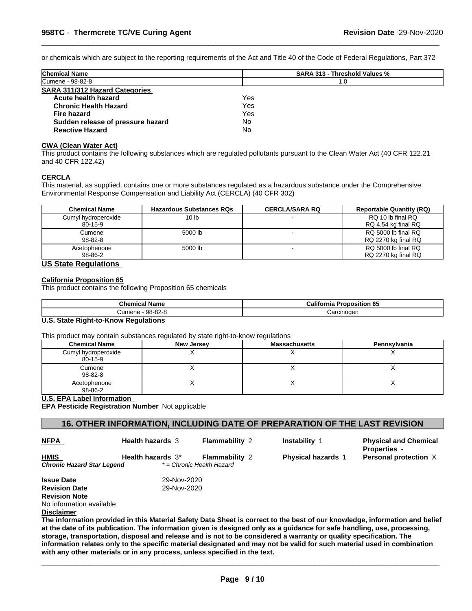or chemicals which are subject to the reporting requirements of the Act and Title 40 of the Code of Federal Regulations, Part 372

 $\overline{\phantom{a}}$  ,  $\overline{\phantom{a}}$  ,  $\overline{\phantom{a}}$  ,  $\overline{\phantom{a}}$  ,  $\overline{\phantom{a}}$  ,  $\overline{\phantom{a}}$  ,  $\overline{\phantom{a}}$  ,  $\overline{\phantom{a}}$  ,  $\overline{\phantom{a}}$  ,  $\overline{\phantom{a}}$  ,  $\overline{\phantom{a}}$  ,  $\overline{\phantom{a}}$  ,  $\overline{\phantom{a}}$  ,  $\overline{\phantom{a}}$  ,  $\overline{\phantom{a}}$  ,  $\overline{\phantom{a}}$ 

| <b>Chemical Name</b>                  | <b>SARA 313 - Threshold Values %</b> |  |
|---------------------------------------|--------------------------------------|--|
| <b>Cumene - 98-82-8</b>               | 1.0                                  |  |
| <b>SARA 311/312 Hazard Categories</b> |                                      |  |
| Acute health hazard                   | Yes                                  |  |
| <b>Chronic Health Hazard</b>          | Yes                                  |  |
| Fire hazard                           | Yes                                  |  |
| Sudden release of pressure hazard     | No                                   |  |
| <b>Reactive Hazard</b>                | No                                   |  |

#### **CWA (Clean Water Act)**

This product contains the following substances which are regulated pollutants pursuant to the Clean Water Act (40 CFR 122.21 and 40 CFR 122.42)

#### **CERCLA**

This material, as supplied, contains one or more substances regulated as a hazardous substance under the Comprehensive Environmental Response Compensation and Liability Act (CERCLA) (40 CFR 302)

| <b>Chemical Name</b> | <b>Hazardous Substances RQs</b> | <b>CERCLA/SARA RQ</b> | <b>Reportable Quantity (RQ)</b> |
|----------------------|---------------------------------|-----------------------|---------------------------------|
| Cumyl hydroperoxide  | 10 lb                           |                       | RQ 10 lb final RQ               |
| 80-15-9              |                                 |                       | RQ 4.54 kg final RQ             |
| Cumene               | 5000 lb                         |                       | RQ 5000 lb final RQ             |
| 98-82-8              |                                 |                       | RQ 2270 kg final RQ             |
| Acetophenone         | 5000 lb                         |                       | RQ 5000 lb final RQ             |
| 98-86-2              |                                 |                       | RQ 2270 kg final RQ             |

## **US State Regulations**

## **California Proposition 65**

This product contains the following Proposition 65 chemicals

| Chemical<br>Name  | Califor<br><b>D</b><br>tornia<br>roposition 65 |
|-------------------|------------------------------------------------|
| 98-82-8<br>Cumene | ∴arcınoαer                                     |

#### **U.S. State Right-to-Know Regulations**

This product may contain substances regulated by state right-to-know regulations

| <b>Chemical Name</b>           | <b>New Jersey</b> | <b>Massachusetts</b> | Pennsylvania |
|--------------------------------|-------------------|----------------------|--------------|
| Cumyl hydroperoxide<br>80-15-9 |                   |                      |              |
| Cumene<br>98-82-8              |                   |                      |              |
| Acetophenone<br>98-86-2        |                   |                      | $\lambda$    |

## **U.S. EPA Label Information**

**EPA Pesticide Registration Number** Not applicable

## **16. OTHER INFORMATION, INCLUDING DATE OF PREPARATION OF THE LAST REVISION**

**NFPA** 

**Health hazards** 3

**Flammability** 2 **Instability** 1

**Physical and Chemical Properties** - **Physical hazards 1 Personal protection X** 

*Chronic Hazard Star Legend \* = Chronic Health Hazard* **HMIS Health hazards** 3\*

**Issue Date** 29-Nov-2020 **Revision Date** 29-Nov-2020

**Revision Note** No information available

**Disclaimer**

**The information provided in this Material Safety Data Sheet is correct to the best of our knowledge, information and belief at the date of its publication. The information given is designed only as a guidance for safe handling, use, processing, storage, transportation, disposal and release and is not to be considered a warranty or quality specification. The information relates only to the specific material designated and may not be valid for such material used in combination with any other materials or in any process, unless specified in the text.**